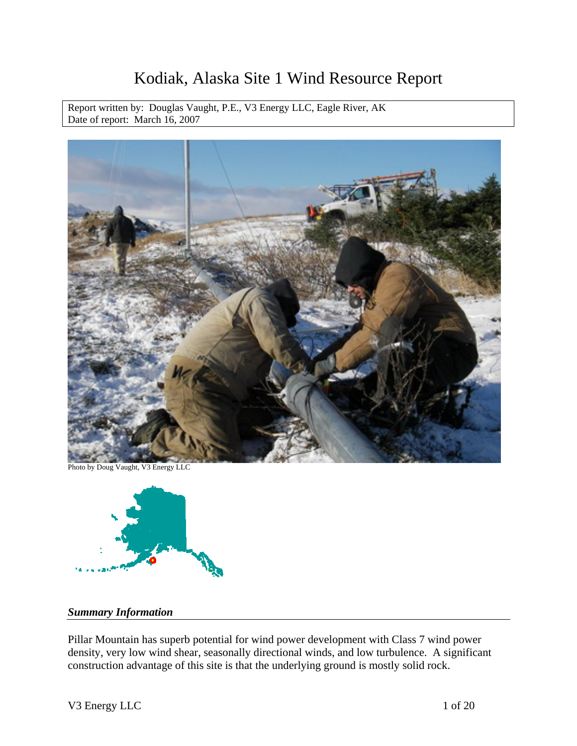# Kodiak, Alaska Site 1 Wind Resource Report

Report written by: Douglas Vaught, P.E., V3 Energy LLC, Eagle River, AK Date of report: March 16, 2007



Photo by Doug Vaught, V3 Energy LLC



## *Summary Information*

Pillar Mountain has superb potential for wind power development with Class 7 wind power density, very low wind shear, seasonally directional winds, and low turbulence. A significant construction advantage of this site is that the underlying ground is mostly solid rock.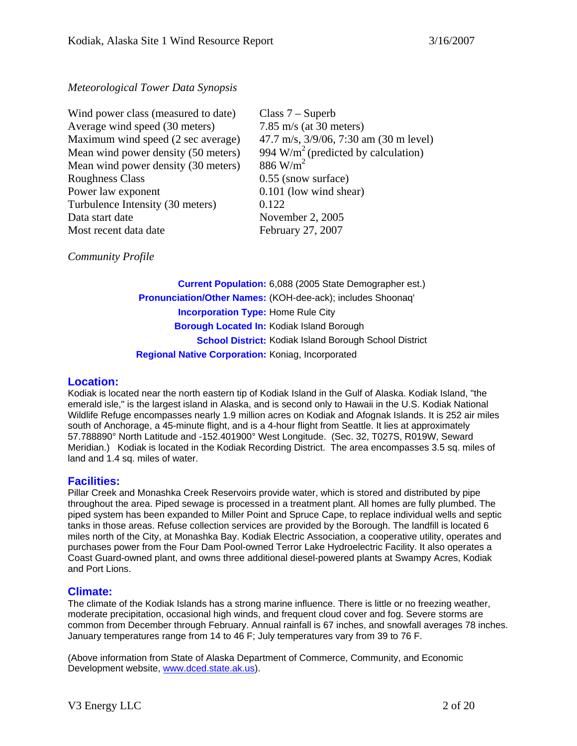# *Meteorological Tower Data Synopsis*

| Wind power class (measured to date) | Class $7 -$ Superb                              |
|-------------------------------------|-------------------------------------------------|
| Average wind speed (30 meters)      | $7.85$ m/s (at 30 meters)                       |
| Maximum wind speed (2 sec average)  | 47.7 m/s, 3/9/06, 7:30 am (30 m level)          |
| Mean wind power density (50 meters) | 994 W/m <sup>2</sup> (predicted by calculation) |
| Mean wind power density (30 meters) | $886$ W/m <sup>2</sup>                          |
| <b>Roughness Class</b>              | 0.55 (snow surface)                             |
| Power law exponent                  | 0.101 (low wind shear)                          |
| Turbulence Intensity (30 meters)    | 0.122                                           |
| Data start date                     | November 2, 2005                                |
| Most recent data date               | February 27, 2007                               |

*Community Profile* 

**Current Population:** 6,088 (2005 State Demographer est.) **Pronunciation/Other Names:** (KOH-dee-ack); includes Shoonaq' **Incorporation Type:** Home Rule City **Borough Located In:** Kodiak Island Borough **School District:** Kodiak Island Borough School District **Regional Native Corporation:** Koniag, Incorporated

## **Location:**

Kodiak is located near the north eastern tip of Kodiak Island in the Gulf of Alaska. Kodiak Island, "the emerald isle," is the largest island in Alaska, and is second only to Hawaii in the U.S. Kodiak National Wildlife Refuge encompasses nearly 1.9 million acres on Kodiak and Afognak Islands. It is 252 air miles south of Anchorage, a 45-minute flight, and is a 4-hour flight from Seattle. It lies at approximately 57.788890° North Latitude and -152.401900° West Longitude. (Sec. 32, T027S, R019W, Seward Meridian.) Kodiak is located in the Kodiak Recording District. The area encompasses 3.5 sq. miles of land and 1.4 sq. miles of water.

## **Facilities:**

Pillar Creek and Monashka Creek Reservoirs provide water, which is stored and distributed by pipe throughout the area. Piped sewage is processed in a treatment plant. All homes are fully plumbed. The piped system has been expanded to Miller Point and Spruce Cape, to replace individual wells and septic tanks in those areas. Refuse collection services are provided by the Borough. The landfill is located 6 miles north of the City, at Monashka Bay. Kodiak Electric Association, a cooperative utility, operates and purchases power from the Four Dam Pool-owned Terror Lake Hydroelectric Facility. It also operates a Coast Guard-owned plant, and owns three additional diesel-powered plants at Swampy Acres, Kodiak and Port Lions.

# **Climate:**

The climate of the Kodiak Islands has a strong marine influence. There is little or no freezing weather, moderate precipitation, occasional high winds, and frequent cloud cover and fog. Severe storms are common from December through February. Annual rainfall is 67 inches, and snowfall averages 78 inches. January temperatures range from 14 to 46 F; July temperatures vary from 39 to 76 F.

(Above information from State of Alaska Department of Commerce, Community, and Economic Development website, [www.dced.state.ak.us](http://www.dced.state.ak.us/)).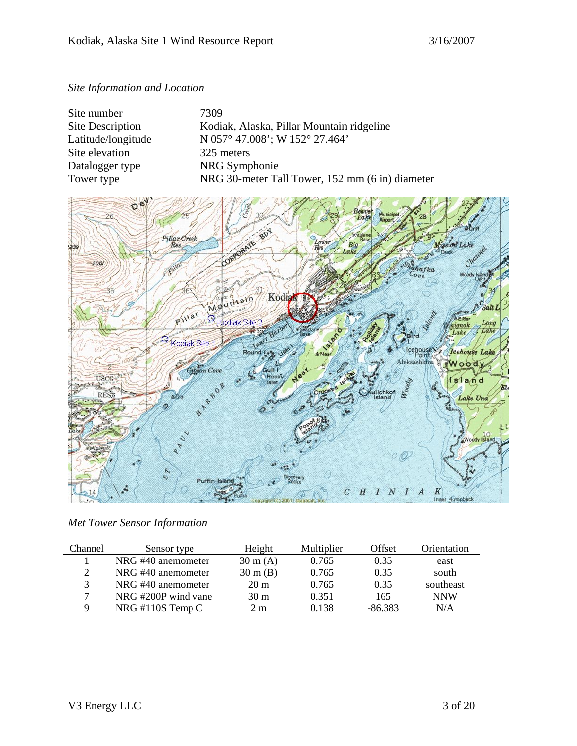# *Site Information and Location*

| Site number             | 7309                                            |
|-------------------------|-------------------------------------------------|
| <b>Site Description</b> | Kodiak, Alaska, Pillar Mountain ridgeline       |
| Latitude/longitude      | N 057° 47.008'; W 152° 27.464'                  |
| Site elevation          | 325 meters                                      |
| Datalogger type         | NRG Symphonie                                   |
| Tower type              | NRG 30-meter Tall Tower, 152 mm (6 in) diameter |



*Met Tower Sensor Information* 

| <b>Channel</b> | Sensor type        | Height             | Multiplier | Offset    | Orientation |
|----------------|--------------------|--------------------|------------|-----------|-------------|
|                | NRG #40 anemometer | $30 \text{ m}$ (A) | 0.765      | 0.35      | east        |
| $\gamma$       | NRG #40 anemometer | $30 \text{ m}$ (B) | 0.765      | 0.35      | south       |
|                | NRG#40 anemometer  | 20 <sub>m</sub>    | 0.765      | 0.35      | southeast   |
|                | NRG#200P wind vane | 30 m               | 0.351      | 165       | <b>NNW</b>  |
| Q              | NRG #110S Temp $C$ | 2 m                | 0.138      | $-86.383$ | N/A         |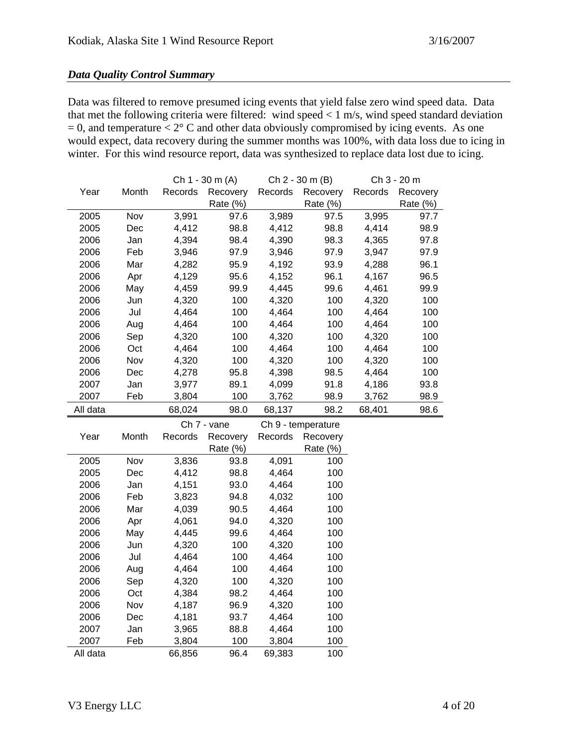# *Data Quality Control Summary*

Data was filtered to remove presumed icing events that yield false zero wind speed data. Data that met the following criteria were filtered: wind speed < 1 m/s, wind speed standard deviation  $= 0$ , and temperature  $< 2^{\circ}$  C and other data obviously compromised by icing events. As one would expect, data recovery during the summer months was 100%, with data loss due to icing in winter. For this wind resource report, data was synthesized to replace data lost due to icing.

|                  |       |                 | Ch 1 - 30 m (A) | $Ch 2 - 30 m (B)$ |                    | Ch 3 - 20 m |          |
|------------------|-------|-----------------|-----------------|-------------------|--------------------|-------------|----------|
| Year             | Month | Records         | Recovery        | Records           | Recovery           | Records     | Recovery |
|                  |       |                 | Rate (%)        |                   | Rate (%)           |             | Rate (%) |
| 2005             | Nov   | 3,991           | 97.6            | 3,989             | 97.5               | 3,995       | 97.7     |
| 2005             | Dec   | 4,412           | 98.8            | 4,412             | 98.8               | 4,414       | 98.9     |
| 2006             | Jan   | 4,394           | 98.4            | 4,390             | 98.3               | 4,365       | 97.8     |
| 2006             | Feb   | 3,946           | 97.9            | 3,946             | 97.9               | 3,947       | 97.9     |
| 2006             | Mar   | 4,282           | 95.9            | 4,192             | 93.9               | 4,288       | 96.1     |
| 2006             | Apr   | 4,129           | 95.6            | 4,152             | 96.1               | 4,167       | 96.5     |
| 2006             | May   | 4,459           | 99.9            | 4,445             | 99.6               | 4,461       | 99.9     |
| 2006             | Jun   | 4,320           | 100             | 4,320             | 100                | 4,320       | 100      |
| 2006             | Jul   | 4,464           | 100             | 4,464             | 100                | 4,464       | 100      |
| 2006             | Aug   | 4,464           | 100             | 4,464             | 100                | 4,464       | 100      |
| 2006             | Sep   | 4,320           | 100             | 4,320             | 100                | 4,320       | 100      |
| 2006             | Oct   | 4,464           | 100             | 4,464             | 100                | 4,464       | 100      |
| 2006             | Nov   | 4,320           | 100             | 4,320             | 100                | 4,320       | 100      |
| 2006             | Dec   | 4,278           | 95.8            | 4,398             | 98.5               | 4,464       | 100      |
| 2007             | Jan   | 3,977           | 89.1            | 4,099             | 91.8               | 4,186       | 93.8     |
| 2007             | Feb   | 3,804           | 100             | 3,762             | 98.9               | 3,762       | 98.9     |
| All data         |       | 68,024          | 98.0            | 68,137            | 98.2               | 68,401      | 98.6     |
|                  |       |                 |                 |                   |                    |             |          |
|                  |       |                 | Ch 7 - vane     |                   | Ch 9 - temperature |             |          |
| Year             | Month | Records         | Recovery        | Records           | Recovery           |             |          |
|                  |       |                 | Rate (%)        |                   | Rate (%)           |             |          |
| 2005             | Nov   | 3,836           | 93.8            | 4,091             | 100                |             |          |
| 2005             | Dec   | 4,412           | 98.8            | 4,464             | 100                |             |          |
| 2006             | Jan   | 4,151           | 93.0            | 4,464             | 100                |             |          |
| 2006             | Feb   | 3,823           | 94.8            | 4,032             | 100                |             |          |
| 2006             | Mar   | 4,039           | 90.5            | 4,464             | 100                |             |          |
| 2006             | Apr   | 4,061           | 94.0            | 4,320             | 100                |             |          |
| 2006             | May   | 4,445           | 99.6            | 4,464             | 100                |             |          |
| 2006             | Jun   | 4,320           | 100             | 4,320             | 100                |             |          |
| 2006             | Jul   | 4,464           | 100             | 4,464             | 100                |             |          |
| 2006             | Aug   | 4,464           | 100             | 4,464             | 100                |             |          |
| 2006             | Sep   | 4,320           | 100             | 4,320             | 100                |             |          |
| 2006             | Oct   | 4,384           | 98.2            | 4,464             | 100                |             |          |
| 2006             | Nov   | 4,187           | 96.9            | 4,320             | 100                |             |          |
| 2006             | Dec   | 4,181           | 93.7            | 4,464             | 100                |             |          |
| 2007             | Jan   | 3,965           | 88.8            | 4,464             | 100                |             |          |
| 2007<br>All data | Feb   | 3,804<br>66,856 | 100<br>96.4     | 3,804<br>69,383   | 100<br>100         |             |          |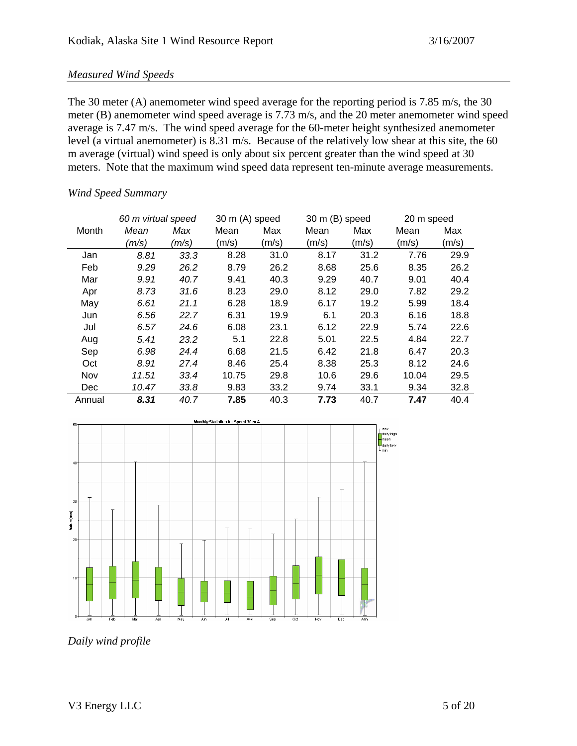# *Measured Wind Speeds*

The 30 meter (A) anemometer wind speed average for the reporting period is 7.85 m/s, the 30 meter (B) anemometer wind speed average is 7.73 m/s, and the 20 meter anemometer wind speed average is 7.47 m/s. The wind speed average for the 60-meter height synthesized anemometer level (a virtual anemometer) is 8.31 m/s. Because of the relatively low shear at this site, the 60 m average (virtual) wind speed is only about six percent greater than the wind speed at 30 meters. Note that the maximum wind speed data represent ten-minute average measurements.

|            | 60 m virtual speed |       |       | 30 m (A) speed |       | 30 m (B) speed | 20 m speed |       |  |
|------------|--------------------|-------|-------|----------------|-------|----------------|------------|-------|--|
| Month      | Mean               | Max   | Mean  | Max            | Mean  | Max            | Mean       | Max   |  |
|            | (m/s)              | (m/s) | (m/s) | (m/s)          | (m/s) | (m/s)          | (m/s)      | (m/s) |  |
| Jan        | 8.81               | 33.3  | 8.28  | 31.0           | 8.17  | 31.2           | 7.76       | 29.9  |  |
| Feb        | 9.29               | 26.2  | 8.79  | 26.2           | 8.68  | 25.6           | 8.35       | 26.2  |  |
| Mar        | 9.91               | 40.7  | 9.41  | 40.3           | 9.29  | 40.7           | 9.01       | 40.4  |  |
| Apr        | 8.73               | 31.6  | 8.23  | 29.0           | 8.12  | 29.0           | 7.82       | 29.2  |  |
| May        | 6.61               | 21.1  | 6.28  | 18.9           | 6.17  | 19.2           | 5.99       | 18.4  |  |
| Jun        | 6.56               | 22.7  | 6.31  | 19.9           | 6.1   | 20.3           | 6.16       | 18.8  |  |
| Jul        | 6.57               | 24.6  | 6.08  | 23.1           | 6.12  | 22.9           | 5.74       | 22.6  |  |
| Aug        | 5.41               | 23.2  | 5.1   | 22.8           | 5.01  | 22.5           | 4.84       | 22.7  |  |
| Sep        | 6.98               | 24.4  | 6.68  | 21.5           | 6.42  | 21.8           | 6.47       | 20.3  |  |
| Oct        | 8.91               | 27.4  | 8.46  | 25.4           | 8.38  | 25.3           | 8.12       | 24.6  |  |
| Nov        | 11.51              | 33.4  | 10.75 | 29.8           | 10.6  | 29.6           | 10.04      | 29.5  |  |
| <b>Dec</b> | 10.47              | 33.8  | 9.83  | 33.2           | 9.74  | 33.1           | 9.34       | 32.8  |  |
| Annual     | 8.31               | 40.7  | 7.85  | 40.3           | 7.73  | 40.7           | 7.47       | 40.4  |  |

#### *Wind Speed Summary*



*Daily wind profile*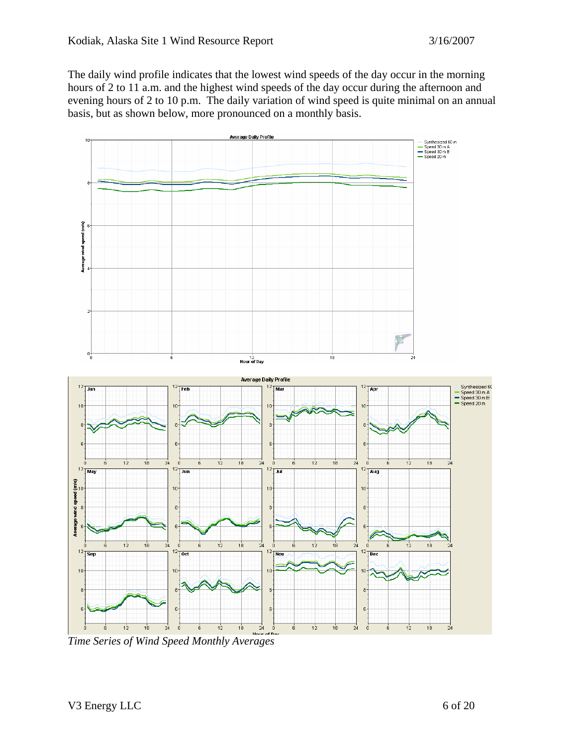The daily wind profile indicates that the lowest wind speeds of the day occur in the morning hours of 2 to 11 a.m. and the highest wind speeds of the day occur during the afternoon and evening hours of 2 to 10 p.m. The daily variation of wind speed is quite minimal on an annual basis, but as shown below, more pronounced on a monthly basis.



*Time Series of Wind Speed Monthly Averages*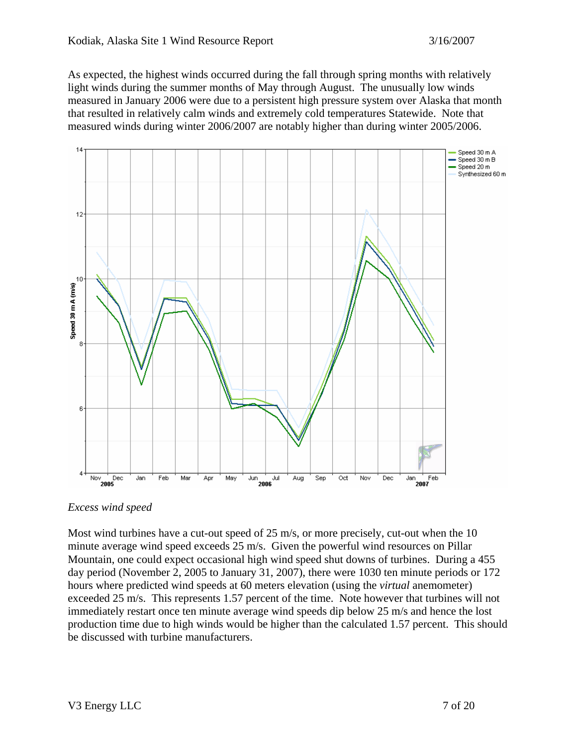As expected, the highest winds occurred during the fall through spring months with relatively light winds during the summer months of May through August. The unusually low winds measured in January 2006 were due to a persistent high pressure system over Alaska that month that resulted in relatively calm winds and extremely cold temperatures Statewide. Note that measured winds during winter 2006/2007 are notably higher than during winter 2005/2006.



#### *Excess wind speed*

Most wind turbines have a cut-out speed of 25 m/s, or more precisely, cut-out when the 10 minute average wind speed exceeds 25 m/s. Given the powerful wind resources on Pillar Mountain, one could expect occasional high wind speed shut downs of turbines. During a 455 day period (November 2, 2005 to January 31, 2007), there were 1030 ten minute periods or 172 hours where predicted wind speeds at 60 meters elevation (using the *virtual* anemometer) exceeded 25 m/s. This represents 1.57 percent of the time. Note however that turbines will not immediately restart once ten minute average wind speeds dip below 25 m/s and hence the lost production time due to high winds would be higher than the calculated 1.57 percent. This should be discussed with turbine manufacturers.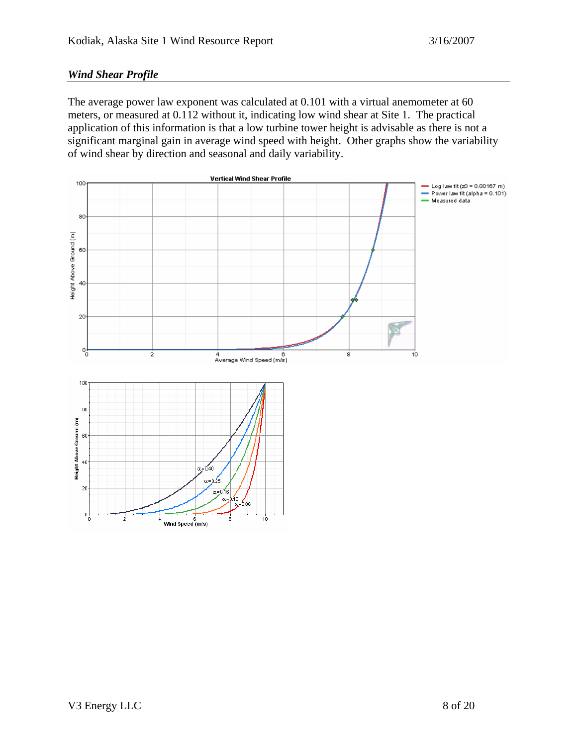# *Wind Shear Profile*

The average power law exponent was calculated at 0.101 with a virtual anemometer at 60 meters, or measured at 0.112 without it, indicating low wind shear at Site 1. The practical application of this information is that a low turbine tower height is advisable as there is not a significant marginal gain in average wind speed with height. Other graphs show the variability of wind shear by direction and seasonal and daily variability.

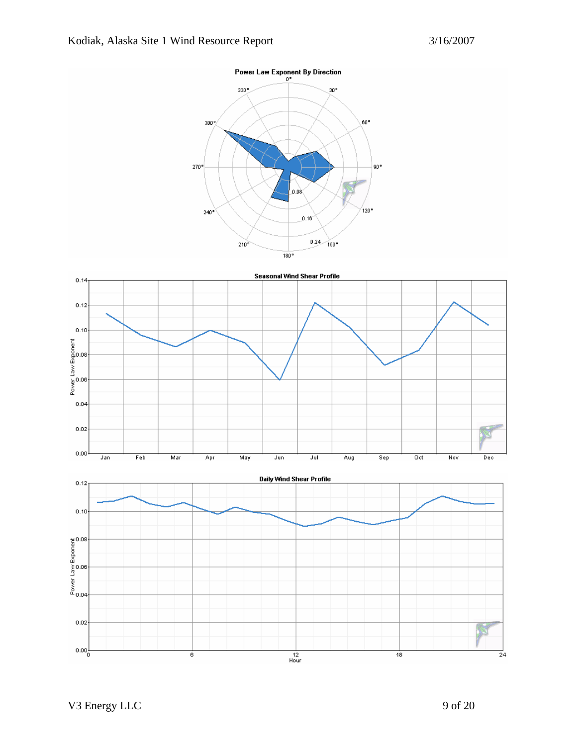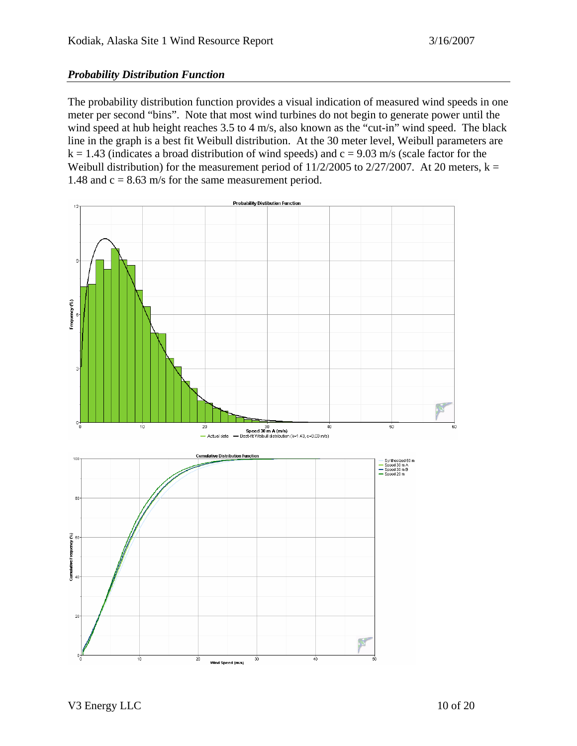# *Probability Distribution Function*

The probability distribution function provides a visual indication of measured wind speeds in one meter per second "bins". Note that most wind turbines do not begin to generate power until the wind speed at hub height reaches 3.5 to 4 m/s, also known as the "cut-in" wind speed. The black line in the graph is a best fit Weibull distribution. At the 30 meter level, Weibull parameters are  $k = 1.43$  (indicates a broad distribution of wind speeds) and  $c = 9.03$  m/s (scale factor for the Weibull distribution) for the measurement period of  $11/2/2005$  to  $2/27/2007$ . At 20 meters, k = 1.48 and  $c = 8.63$  m/s for the same measurement period.

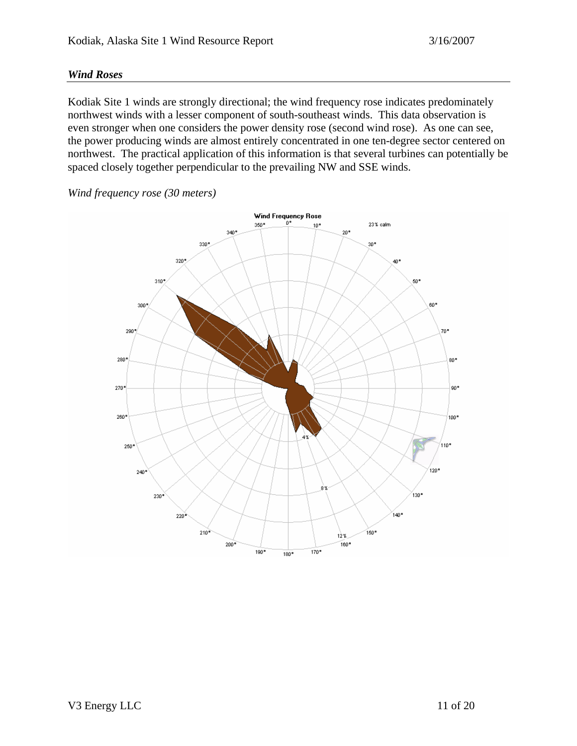# *Wind Roses*

Kodiak Site 1 winds are strongly directional; the wind frequency rose indicates predominately northwest winds with a lesser component of south-southeast winds. This data observation is even stronger when one considers the power density rose (second wind rose). As one can see, the power producing winds are almost entirely concentrated in one ten-degree sector centered on northwest. The practical application of this information is that several turbines can potentially be spaced closely together perpendicular to the prevailing NW and SSE winds.

*Wind frequency rose (30 meters)* 

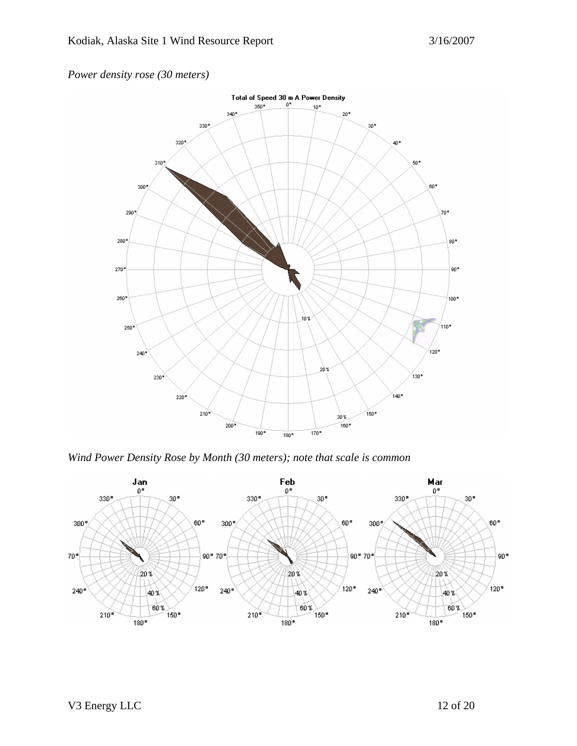# *Power density rose (30 meters)*



*Wind Power Density Rose by Month (30 meters); note that scale is common* 

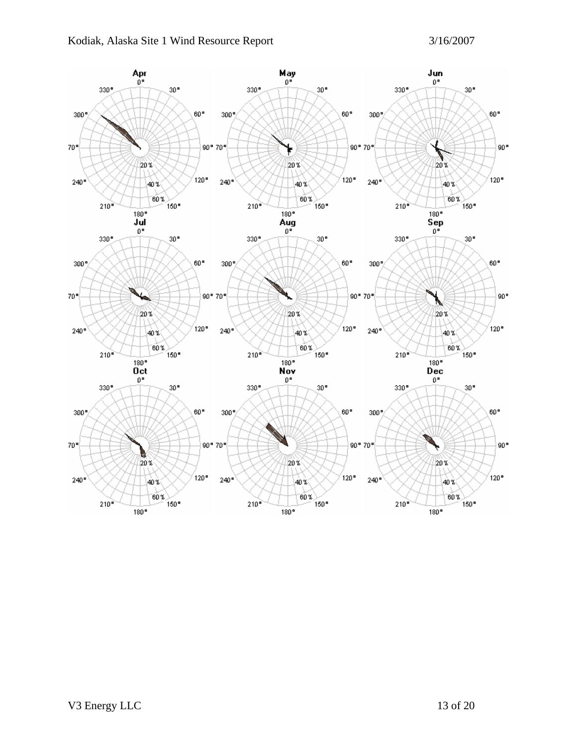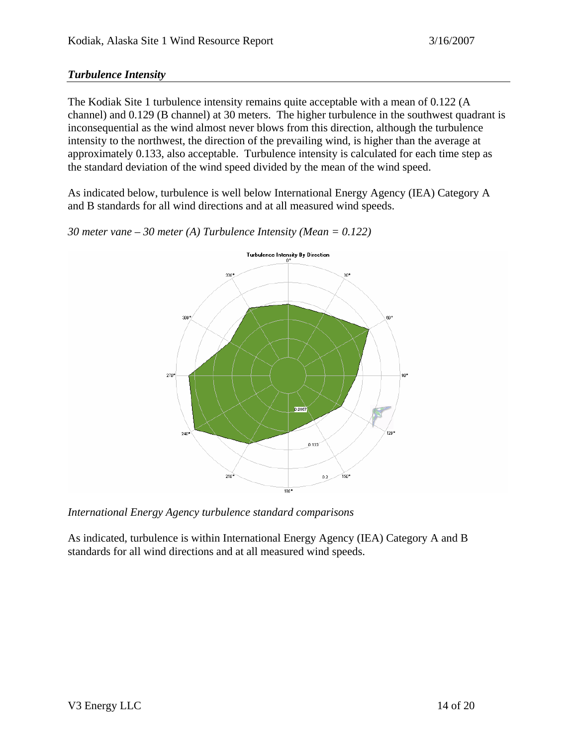# *Turbulence Intensity*

The Kodiak Site 1 turbulence intensity remains quite acceptable with a mean of 0.122 (A channel) and 0.129 (B channel) at 30 meters. The higher turbulence in the southwest quadrant is inconsequential as the wind almost never blows from this direction, although the turbulence intensity to the northwest, the direction of the prevailing wind, is higher than the average at approximately 0.133, also acceptable. Turbulence intensity is calculated for each time step as the standard deviation of the wind speed divided by the mean of the wind speed.

As indicated below, turbulence is well below International Energy Agency (IEA) Category A and B standards for all wind directions and at all measured wind speeds.



*30 meter vane – 30 meter (A) Turbulence Intensity (Mean = 0.122)* 

*International Energy Agency turbulence standard comparisons* 

As indicated, turbulence is within International Energy Agency (IEA) Category A and B standards for all wind directions and at all measured wind speeds.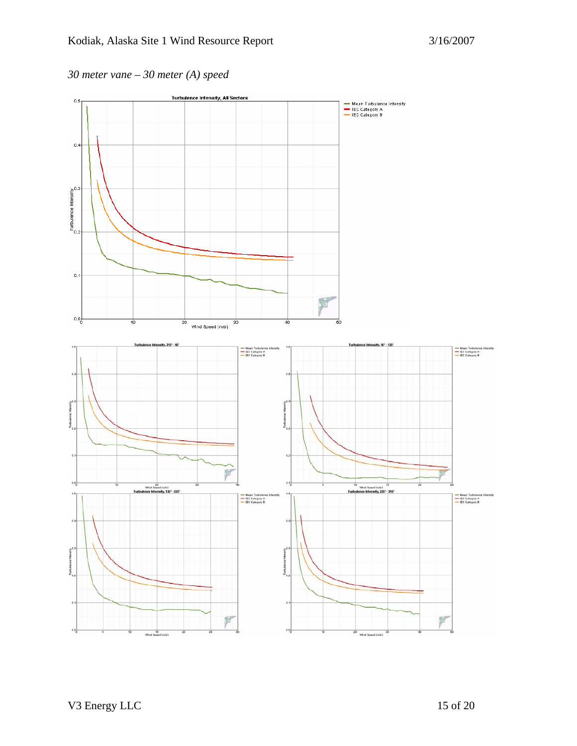*30 meter vane – 30 meter (A) speed* 

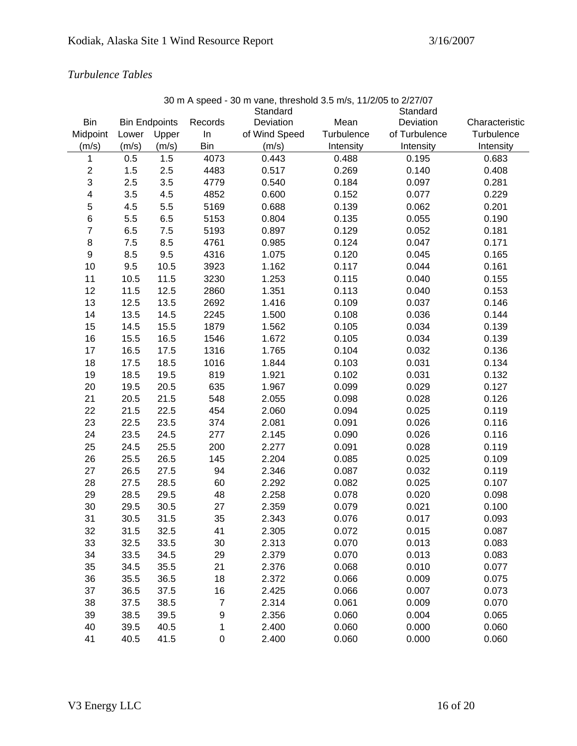# *Turbulence Tables*

| 30 m A speed - 30 m vane, threshold 3.5 m/s, 11/2/05 to 2/27/07 |       |                      |                |               |            |               |                |
|-----------------------------------------------------------------|-------|----------------------|----------------|---------------|------------|---------------|----------------|
|                                                                 |       |                      |                | Standard      |            | Standard      |                |
| <b>Bin</b>                                                      |       | <b>Bin Endpoints</b> | Records        | Deviation     | Mean       | Deviation     | Characteristic |
| Midpoint                                                        | Lower | Upper                | In             | of Wind Speed | Turbulence | of Turbulence | Turbulence     |
| (m/s)                                                           | (m/s) | (m/s)                | <b>Bin</b>     | (m/s)         | Intensity  | Intensity     | Intensity      |
| 1                                                               | 0.5   | 1.5                  | 4073           | 0.443         | 0.488      | 0.195         | 0.683          |
| $\boldsymbol{2}$                                                | 1.5   | 2.5                  | 4483           | 0.517         | 0.269      | 0.140         | 0.408          |
| 3                                                               | 2.5   | 3.5                  | 4779           | 0.540         | 0.184      | 0.097         | 0.281          |
| $\overline{\mathbf{4}}$                                         | 3.5   | 4.5                  | 4852           | 0.600         | 0.152      | 0.077         | 0.229          |
| 5                                                               | 4.5   | 5.5                  | 5169           | 0.688         | 0.139      | 0.062         | 0.201          |
| $\,6$                                                           | 5.5   | 6.5                  | 5153           | 0.804         | 0.135      | 0.055         | 0.190          |
| $\overline{7}$                                                  | 6.5   | 7.5                  | 5193           | 0.897         | 0.129      | 0.052         | 0.181          |
| $\bf 8$                                                         | 7.5   | 8.5                  | 4761           | 0.985         | 0.124      | 0.047         | 0.171          |
| 9                                                               | 8.5   | 9.5                  | 4316           | 1.075         | 0.120      | 0.045         | 0.165          |
| 10                                                              | 9.5   | 10.5                 | 3923           | 1.162         | 0.117      | 0.044         | 0.161          |
| 11                                                              | 10.5  | 11.5                 | 3230           | 1.253         | 0.115      | 0.040         | 0.155          |
| 12                                                              | 11.5  | 12.5                 | 2860           | 1.351         | 0.113      | 0.040         | 0.153          |
| 13                                                              | 12.5  | 13.5                 | 2692           | 1.416         | 0.109      | 0.037         | 0.146          |
| 14                                                              | 13.5  | 14.5                 | 2245           | 1.500         | 0.108      | 0.036         | 0.144          |
| 15                                                              | 14.5  | 15.5                 | 1879           | 1.562         | 0.105      | 0.034         | 0.139          |
| 16                                                              | 15.5  | 16.5                 | 1546           | 1.672         | 0.105      | 0.034         | 0.139          |
| 17                                                              | 16.5  | 17.5                 | 1316           | 1.765         | 0.104      | 0.032         | 0.136          |
| 18                                                              | 17.5  | 18.5                 | 1016           | 1.844         | 0.103      | 0.031         | 0.134          |
| 19                                                              | 18.5  | 19.5                 | 819            | 1.921         | 0.102      | 0.031         | 0.132          |
| 20                                                              | 19.5  | 20.5                 | 635            | 1.967         | 0.099      | 0.029         | 0.127          |
| 21                                                              | 20.5  | 21.5                 | 548            | 2.055         | 0.098      | 0.028         | 0.126          |
| 22                                                              | 21.5  | 22.5                 | 454            | 2.060         | 0.094      | 0.025         | 0.119          |
| 23                                                              | 22.5  | 23.5                 | 374            | 2.081         | 0.091      | 0.026         | 0.116          |
| 24                                                              | 23.5  | 24.5                 | 277            | 2.145         | 0.090      | 0.026         | 0.116          |
| 25                                                              | 24.5  | 25.5                 | 200            | 2.277         | 0.091      | 0.028         | 0.119          |
| 26                                                              | 25.5  | 26.5                 | 145            | 2.204         | 0.085      | 0.025         | 0.109          |
| 27                                                              | 26.5  | 27.5                 | 94             | 2.346         | 0.087      | 0.032         | 0.119          |
| 28                                                              | 27.5  | 28.5                 | 60             | 2.292         | 0.082      | 0.025         | 0.107          |
| 29                                                              | 28.5  | 29.5                 | 48             | 2.258         | 0.078      | 0.020         | 0.098          |
| 30                                                              | 29.5  | 30.5                 | 27             | 2.359         | 0.079      | 0.021         | 0.100          |
| 31                                                              | 30.5  | 31.5                 | 35             | 2.343         | 0.076      | 0.017         | 0.093          |
| 32                                                              | 31.5  | 32.5                 | 41             | 2.305         | 0.072      | 0.015         | 0.087          |
| 33                                                              | 32.5  | 33.5                 | 30             | 2.313         | 0.070      | 0.013         | 0.083          |
| 34                                                              | 33.5  | 34.5                 | 29             | 2.379         | 0.070      | 0.013         | 0.083          |
| 35                                                              | 34.5  | 35.5                 | 21             | 2.376         | 0.068      | 0.010         | 0.077          |
| 36                                                              | 35.5  | 36.5                 | 18             | 2.372         | 0.066      | 0.009         | 0.075          |
| 37                                                              | 36.5  | 37.5                 | 16             | 2.425         | 0.066      | 0.007         | 0.073          |
| 38                                                              | 37.5  | 38.5                 | $\overline{7}$ | 2.314         | 0.061      | 0.009         | 0.070          |
| 39                                                              | 38.5  | 39.5                 | 9              | 2.356         | 0.060      | 0.004         | 0.065          |
| 40                                                              | 39.5  | 40.5                 | 1              | 2.400         | 0.060      | 0.000         | 0.060          |
| 41                                                              | 40.5  | 41.5                 | $\mathbf 0$    | 2.400         | 0.060      | 0.000         | 0.060          |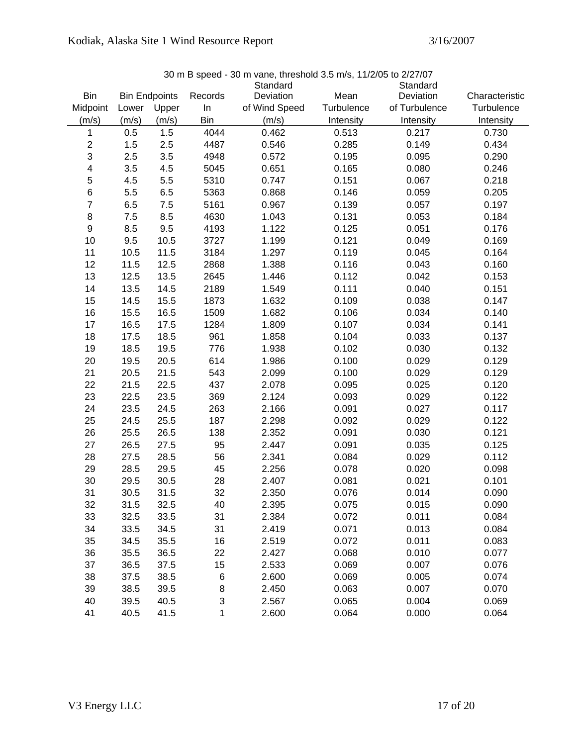| 30 m B speed - 30 m vane, threshold 3.5 m/s, 11/2/05 to 2/27/07<br>Standard |       |                      |            |                       |            |               |                |
|-----------------------------------------------------------------------------|-------|----------------------|------------|-----------------------|------------|---------------|----------------|
| <b>Bin</b>                                                                  |       | <b>Bin Endpoints</b> | Records    | Standard<br>Deviation | Mean       | Deviation     | Characteristic |
| Midpoint                                                                    | Lower | Upper                | In         | of Wind Speed         | Turbulence | of Turbulence | Turbulence     |
| (m/s)                                                                       | (m/s) | (m/s)                | <b>Bin</b> | (m/s)                 | Intensity  | Intensity     | Intensity      |
| 1                                                                           | 0.5   | 1.5                  | 4044       | 0.462                 | 0.513      | 0.217         | 0.730          |
| $\boldsymbol{2}$                                                            | 1.5   | 2.5                  | 4487       | 0.546                 | 0.285      | 0.149         | 0.434          |
| 3                                                                           | 2.5   | 3.5                  | 4948       | 0.572                 | 0.195      | 0.095         | 0.290          |
| $\overline{\mathbf{4}}$                                                     | 3.5   | 4.5                  | 5045       | 0.651                 | 0.165      | 0.080         | 0.246          |
| $\sqrt{5}$                                                                  | 4.5   | 5.5                  | 5310       | 0.747                 | 0.151      | 0.067         | 0.218          |
| $\,$ 6 $\,$                                                                 | 5.5   | 6.5                  | 5363       | 0.868                 | 0.146      | 0.059         | 0.205          |
| 7                                                                           | 6.5   | 7.5                  | 5161       | 0.967                 | 0.139      | 0.057         | 0.197          |
| 8                                                                           | 7.5   | 8.5                  | 4630       | 1.043                 | 0.131      | 0.053         | 0.184          |
| $\boldsymbol{9}$                                                            | 8.5   | 9.5                  | 4193       | 1.122                 | 0.125      | 0.051         | 0.176          |
| 10                                                                          | 9.5   | 10.5                 | 3727       | 1.199                 | 0.121      | 0.049         | 0.169          |
| 11                                                                          | 10.5  | 11.5                 | 3184       | 1.297                 | 0.119      | 0.045         | 0.164          |
| 12                                                                          | 11.5  | 12.5                 | 2868       | 1.388                 | 0.116      | 0.043         | 0.160          |
| 13                                                                          | 12.5  | 13.5                 | 2645       | 1.446                 | 0.112      | 0.042         | 0.153          |
| 14                                                                          | 13.5  | 14.5                 | 2189       | 1.549                 | 0.111      | 0.040         | 0.151          |
| 15                                                                          | 14.5  | 15.5                 | 1873       | 1.632                 | 0.109      | 0.038         | 0.147          |
| 16                                                                          | 15.5  | 16.5                 | 1509       | 1.682                 | 0.106      | 0.034         | 0.140          |
| 17                                                                          | 16.5  | 17.5                 | 1284       | 1.809                 | 0.107      | 0.034         | 0.141          |
| 18                                                                          | 17.5  | 18.5                 | 961        | 1.858                 | 0.104      | 0.033         | 0.137          |
| 19                                                                          | 18.5  | 19.5                 | 776        | 1.938                 | 0.102      | 0.030         | 0.132          |
| 20                                                                          | 19.5  | 20.5                 | 614        | 1.986                 | 0.100      | 0.029         | 0.129          |
| 21                                                                          | 20.5  | 21.5                 | 543        | 2.099                 | 0.100      | 0.029         | 0.129          |
| 22                                                                          | 21.5  | 22.5                 | 437        | 2.078                 | 0.095      | 0.025         | 0.120          |
| 23                                                                          | 22.5  | 23.5                 | 369        | 2.124                 | 0.093      | 0.029         | 0.122          |
| 24                                                                          | 23.5  | 24.5                 | 263        | 2.166                 | 0.091      | 0.027         | 0.117          |
| 25                                                                          | 24.5  | 25.5                 | 187        | 2.298                 | 0.092      | 0.029         | 0.122          |
| 26                                                                          | 25.5  | 26.5                 | 138        | 2.352                 | 0.091      | 0.030         | 0.121          |
| 27                                                                          | 26.5  | 27.5                 | 95         | 2.447                 | 0.091      | 0.035         | 0.125          |
| 28                                                                          | 27.5  | 28.5                 | 56         | 2.341                 | 0.084      | 0.029         | 0.112          |
| 29                                                                          | 28.5  | 29.5                 | 45         | 2.256                 | 0.078      | 0.020         | 0.098          |
| 30                                                                          | 29.5  | 30.5                 | 28         | 2.407                 | 0.081      | 0.021         | 0.101          |
| 31                                                                          | 30.5  | 31.5                 | 32         | 2.350                 | 0.076      | 0.014         | 0.090          |
| 32                                                                          | 31.5  | 32.5                 | 40         | 2.395                 | 0.075      | 0.015         | 0.090          |
| 33                                                                          | 32.5  | 33.5                 | 31         | 2.384                 | 0.072      | 0.011         | 0.084          |
| 34                                                                          | 33.5  | 34.5                 | 31         | 2.419                 | 0.071      | 0.013         | 0.084          |
| 35                                                                          | 34.5  | 35.5                 | 16         | 2.519                 | 0.072      | 0.011         | 0.083          |
| 36                                                                          | 35.5  | 36.5                 | 22         | 2.427                 | 0.068      | 0.010         | 0.077          |
| 37                                                                          | 36.5  | 37.5                 | 15         | 2.533                 | 0.069      | 0.007         | 0.076          |
| 38                                                                          | 37.5  | 38.5                 | 6          | 2.600                 | 0.069      | 0.005         | 0.074          |
| 39                                                                          | 38.5  | 39.5                 | 8          | 2.450                 | 0.063      | 0.007         | 0.070          |
| 40                                                                          | 39.5  | 40.5                 | 3          | 2.567                 | 0.065      | 0.004         | 0.069          |
| 41                                                                          | 40.5  | 41.5                 | 1          | 2.600                 | 0.064      | 0.000         | 0.064          |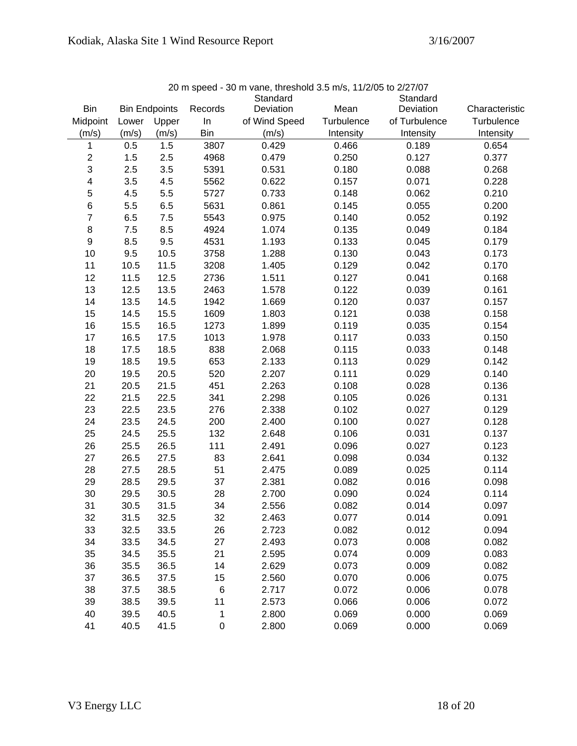| 20 m speed - 30 m vane, threshold 3.5 m/s, 11/2/05 to 2/27/07<br>Standard<br>Standard |                      |       |                 |               |            |               |                |  |
|---------------------------------------------------------------------------------------|----------------------|-------|-----------------|---------------|------------|---------------|----------------|--|
| <b>Bin</b>                                                                            | <b>Bin Endpoints</b> |       | Records         | Deviation     | Mean       | Deviation     | Characteristic |  |
| Midpoint                                                                              | Lower                | Upper | In              | of Wind Speed | Turbulence | of Turbulence | Turbulence     |  |
| (m/s)                                                                                 | (m/s)                | (m/s) | <b>Bin</b>      | (m/s)         | Intensity  | Intensity     | Intensity      |  |
| 1                                                                                     | 0.5                  | 1.5   | 3807            | 0.429         | 0.466      | 0.189         | 0.654          |  |
| $\boldsymbol{2}$                                                                      | 1.5                  | 2.5   | 4968            | 0.479         | 0.250      | 0.127         | 0.377          |  |
| 3                                                                                     | 2.5                  | 3.5   | 5391            | 0.531         | 0.180      | 0.088         | 0.268          |  |
| $\overline{\mathbf{4}}$                                                               | 3.5                  | 4.5   | 5562            | 0.622         | 0.157      | 0.071         | 0.228          |  |
| $\mathbf 5$                                                                           | 4.5                  | 5.5   | 5727            | 0.733         | 0.148      | 0.062         | 0.210          |  |
| $\overline{6}$                                                                        | 5.5                  | 6.5   | 5631            | 0.861         | 0.145      | 0.055         | 0.200          |  |
| $\overline{7}$                                                                        | 6.5                  | 7.5   | 5543            | 0.975         | 0.140      | 0.052         | 0.192          |  |
| $\bf 8$                                                                               | 7.5                  | 8.5   | 4924            | 1.074         | 0.135      | 0.049         | 0.184          |  |
| $\boldsymbol{9}$                                                                      | 8.5                  | 9.5   | 4531            | 1.193         | 0.133      | 0.045         | 0.179          |  |
| 10                                                                                    | 9.5                  | 10.5  | 3758            | 1.288         | 0.130      | 0.043         | 0.173          |  |
| 11                                                                                    | 10.5                 | 11.5  | 3208            | 1.405         | 0.129      | 0.042         | 0.170          |  |
| 12                                                                                    | 11.5                 | 12.5  | 2736            | 1.511         | 0.127      | 0.041         | 0.168          |  |
| 13                                                                                    | 12.5                 | 13.5  | 2463            | 1.578         | 0.122      | 0.039         | 0.161          |  |
| 14                                                                                    | 13.5                 | 14.5  | 1942            | 1.669         | 0.120      | 0.037         | 0.157          |  |
| 15                                                                                    | 14.5                 | 15.5  | 1609            | 1.803         | 0.121      | 0.038         | 0.158          |  |
| 16                                                                                    | 15.5                 | 16.5  | 1273            | 1.899         | 0.119      | 0.035         | 0.154          |  |
| 17                                                                                    | 16.5                 | 17.5  | 1013            | 1.978         | 0.117      | 0.033         | 0.150          |  |
| 18                                                                                    | 17.5                 | 18.5  | 838             | 2.068         | 0.115      | 0.033         | 0.148          |  |
| 19                                                                                    | 18.5                 | 19.5  | 653             | 2.133         | 0.113      | 0.029         | 0.142          |  |
| 20                                                                                    | 19.5                 | 20.5  | 520             | 2.207         | 0.111      | 0.029         | 0.140          |  |
| 21                                                                                    | 20.5                 | 21.5  | 451             | 2.263         | 0.108      | 0.028         | 0.136          |  |
| 22                                                                                    | 21.5                 | 22.5  | 341             | 2.298         | 0.105      | 0.026         | 0.131          |  |
| 23                                                                                    | 22.5                 | 23.5  | 276             | 2.338         | 0.102      | 0.027         | 0.129          |  |
| 24                                                                                    | 23.5                 | 24.5  | 200             | 2.400         | 0.100      | 0.027         | 0.128          |  |
| 25                                                                                    | 24.5                 | 25.5  | 132             | 2.648         | 0.106      | 0.031         | 0.137          |  |
| 26                                                                                    | 25.5                 | 26.5  | 111             | 2.491         | 0.096      | 0.027         | 0.123          |  |
| 27                                                                                    | 26.5                 | 27.5  | 83              | 2.641         | 0.098      | 0.034         | 0.132          |  |
| 28                                                                                    | 27.5                 | 28.5  | 51              | 2.475         | 0.089      | 0.025         | 0.114          |  |
| 29                                                                                    | 28.5                 | 29.5  | 37              | 2.381         | 0.082      | 0.016         | 0.098          |  |
| 30                                                                                    | 29.5                 | 30.5  | 28              | 2.700         | 0.090      | 0.024         | 0.114          |  |
| 31                                                                                    | 30.5                 | 31.5  | 34              | 2.556         | 0.082      | 0.014         | 0.097          |  |
| 32                                                                                    | 31.5                 | 32.5  | 32              | 2.463         | 0.077      | 0.014         | 0.091          |  |
| 33                                                                                    | 32.5                 | 33.5  | 26              | 2.723         | 0.082      | 0.012         | 0.094          |  |
| 34                                                                                    | 33.5                 | 34.5  | 27              | 2.493         | 0.073      | 0.008         | 0.082          |  |
| 35                                                                                    | 34.5                 | 35.5  | 21              | 2.595         | 0.074      | 0.009         | 0.083          |  |
| 36                                                                                    | 35.5                 | 36.5  | 14              | 2.629         | 0.073      | 0.009         | 0.082          |  |
| 37                                                                                    | 36.5                 | 37.5  | 15              | 2.560         | 0.070      | 0.006         | 0.075          |  |
| 38                                                                                    | 37.5                 | 38.5  | $6\phantom{1}6$ | 2.717         | 0.072      | 0.006         | 0.078          |  |
| 39                                                                                    | 38.5                 | 39.5  | 11              | 2.573         | 0.066      | 0.006         | 0.072          |  |
| 40                                                                                    | 39.5                 | 40.5  | 1               | 2.800         | 0.069      | 0.000         | 0.069          |  |
| 41                                                                                    | 40.5                 | 41.5  | 0               | 2.800         | 0.069      | 0.000         | 0.069          |  |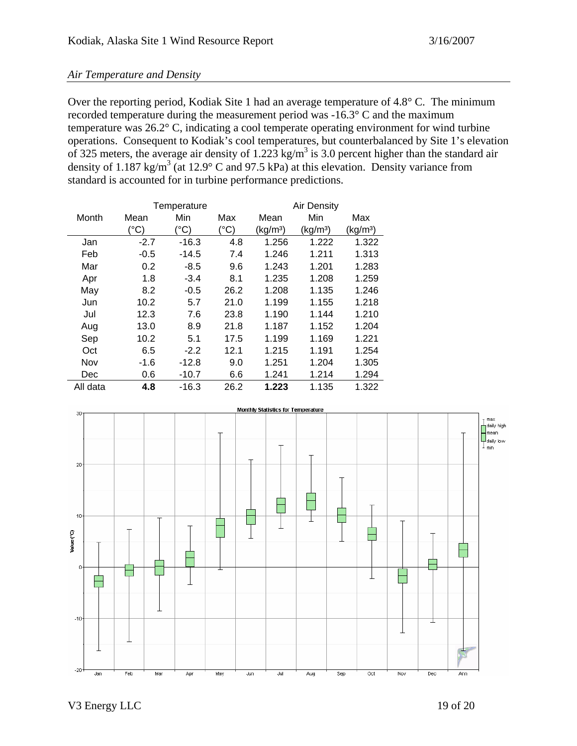# *Air Temperature and Density*

Over the reporting period, Kodiak Site 1 had an average temperature of 4.8° C. The minimum recorded temperature during the measurement period was -16.3° C and the maximum temperature was 26.2° C, indicating a cool temperate operating environment for wind turbine operations. Consequent to Kodiak's cool temperatures, but counterbalanced by Site 1's elevation of 325 meters, the average air density of  $1.223 \text{ kg/m}^3$  is 3.0 percent higher than the standard air density of 1.187 kg/m<sup>3</sup> (at 12.9° C and 97.5 kPa) at this elevation. Density variance from standard is accounted for in turbine performance predictions.

|          |        | Temperature | <b>Air Density</b> |                      |                      |                      |
|----------|--------|-------------|--------------------|----------------------|----------------------|----------------------|
| Month    | Mean   | Min         | Max                | Mean                 | Min                  | Max                  |
|          | (°C)   | (°C)        | (°C)               | (kg/m <sup>3</sup> ) | (kg/m <sup>3</sup> ) | (kg/m <sup>3</sup> ) |
| Jan      | $-2.7$ | $-16.3$     | 4.8                | 1.256                | 1.222                | 1.322                |
| Feb      | $-0.5$ | $-14.5$     | 7.4                | 1.246                | 1.211                | 1.313                |
| Mar      | 0.2    | $-8.5$      | 9.6                | 1.243                | 1.201                | 1.283                |
| Apr      | 1.8    | $-3.4$      | 8.1                | 1.235                | 1.208                | 1.259                |
| May      | 8.2    | $-0.5$      | 26.2               | 1.208                | 1.135                | 1.246                |
| Jun      | 10.2   | 5.7         | 21.0               | 1.199                | 1.155                | 1.218                |
| Jul      | 12.3   | 7.6         | 23.8               | 1.190                | 1.144                | 1.210                |
| Aug      | 13.0   | 8.9         | 21.8               | 1.187                | 1.152                | 1.204                |
| Sep      | 10.2   | 5.1         | 17.5               | 1.199                | 1.169                | 1.221                |
| Oct      | 6.5    | $-2.2$      | 12.1               | 1.215                | 1.191                | 1.254                |
| Nov      | $-1.6$ | $-12.8$     | 9.0                | 1.251                | 1.204                | 1.305                |
| Dec      | 0.6    | $-10.7$     | 6.6                | 1.241                | 1.214                | 1.294                |
| All data | 4.8    | $-16.3$     | 26.2               | 1.223                | 1.135                | 1.322                |